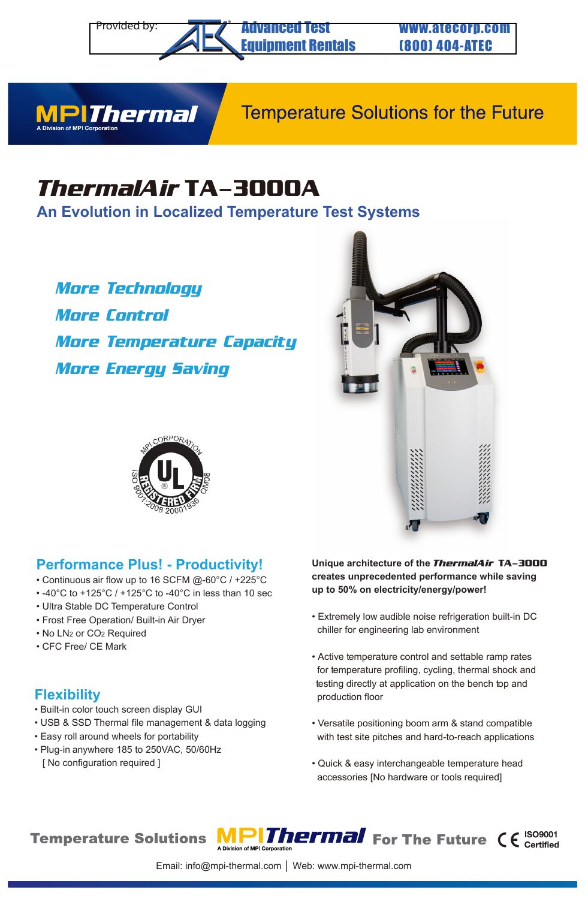#### Provided by: **THE Advanced Test Figure 11 WWW.atecorp.com** Advanced Test [Equipment Rentals](https://www.atecorp.com/)

(800) 404-ATEC



## **Temperature Solutions for the Future**

# *ThermalAir* **TA-3000A**

**An Evolution in Localized Temperature Test Systems**

®

*More Technology More Control More Temperature Capacity More Energy Saving* 





## **Performance Plus! - Productivity!**

- Continuous air flow up to 16 SCFM @-60°C / +225°C
- -40°C to +125°C / +125°C to -40°C in less than 10 sec
- Ultra Stable DC Temperature Control
- Frost Free Operation/ Built-in Air Dryer
- No LN2 or CO2 Required
- CFC Free/ CE Mark

## **Flexibility**

- Built-in color touch screen display GUI
- USB & SSD Thermal file management & data logging
- Easy roll around wheels for portability
- Plug-in anywhere 185 to 250VAC, 50/60Hz [ No configuration required ]

#### **Unique architecture of the** *ThermalAir* **TA-3000 creates unprecedented performance while saving up to 50% on electricity/energy/power!**

- Extremely low audible noise refrigeration built-in DC chiller for engineering lab environment
- Active temperature control and settable ramp rates for temperature profiling, cycling, thermal shock and testing directly at application on the bench top and production floor
- Versatile positioning boom arm & stand compatible with test site pitches and hard-to-reach applications
- Quick & easy interchangeable temperature head accessories [No hardware or tools required]

**Temperature Solutions**